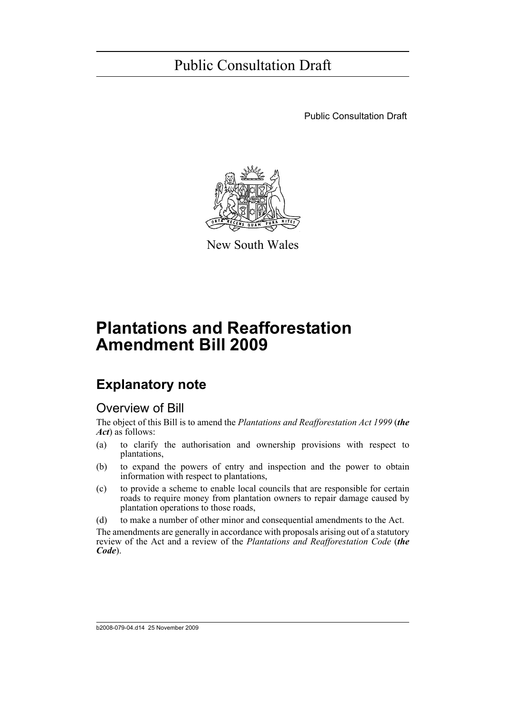Public Consultation Draft



New South Wales

# **Plantations and Reafforestation Amendment Bill 2009**

### **Explanatory note**

### Overview of Bill

The object of this Bill is to amend the *Plantations and Reafforestation Act 1999* (*the Act*) as follows:

- (a) to clarify the authorisation and ownership provisions with respect to plantations,
- (b) to expand the powers of entry and inspection and the power to obtain information with respect to plantations,
- (c) to provide a scheme to enable local councils that are responsible for certain roads to require money from plantation owners to repair damage caused by plantation operations to those roads,
- (d) to make a number of other minor and consequential amendments to the Act.

The amendments are generally in accordance with proposals arising out of a statutory review of the Act and a review of the *Plantations and Reafforestation Code* (*the Code*).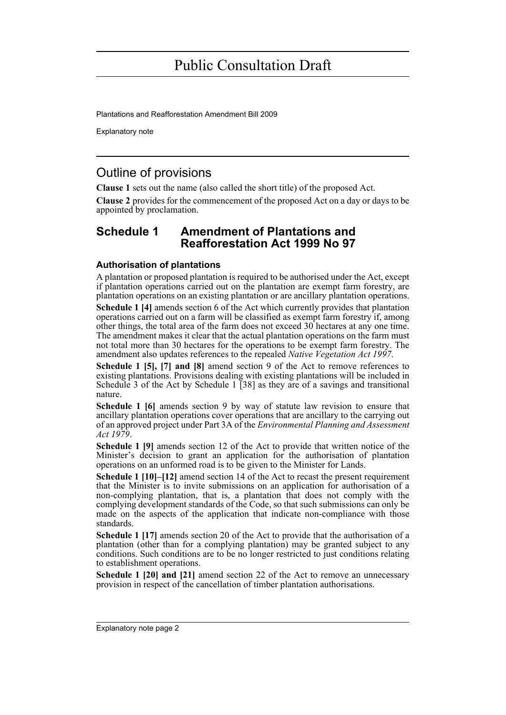Plantations and Reafforestation Amendment Bill 2009

Explanatory note

### Outline of provisions

**Clause 1** sets out the name (also called the short title) of the proposed Act.

**Clause 2** provides for the commencement of the proposed Act on a day or days to be appointed by proclamation.

### **Schedule 1 Amendment of Plantations and Reafforestation Act 1999 No 97**

### **Authorisation of plantations**

A plantation or proposed plantation is required to be authorised under the Act, except if plantation operations carried out on the plantation are exempt farm forestry, are plantation operations on an existing plantation or are ancillary plantation operations.

**Schedule 1 [4]** amends section 6 of the Act which currently provides that plantation operations carried out on a farm will be classified as exempt farm forestry if, among other things, the total area of the farm does not exceed 30 hectares at any one time. The amendment makes it clear that the actual plantation operations on the farm must not total more than 30 hectares for the operations to be exempt farm forestry. The amendment also updates references to the repealed *Native Vegetation Act 1997*.

**Schedule 1 [5], [7] and [8]** amend section 9 of the Act to remove references to existing plantations. Provisions dealing with existing plantations will be included in Schedule 3 of the Act by Schedule 1 [38] as they are of a savings and transitional nature.

**Schedule 1 [6]** amends section 9 by way of statute law revision to ensure that ancillary plantation operations cover operations that are ancillary to the carrying out of an approved project under Part 3A of the *Environmental Planning and Assessment Act 1979*.

**Schedule 1 [9]** amends section 12 of the Act to provide that written notice of the Minister's decision to grant an application for the authorisation of plantation operations on an unformed road is to be given to the Minister for Lands.

**Schedule 1 [10]–[12]** amend section 14 of the Act to recast the present requirement that the Minister is to invite submissions on an application for authorisation of a non-complying plantation, that is, a plantation that does not comply with the complying development standards of the Code, so that such submissions can only be made on the aspects of the application that indicate non-compliance with those standards.

**Schedule 1 [17]** amends section 20 of the Act to provide that the authorisation of a plantation (other than for a complying plantation) may be granted subject to any conditions. Such conditions are to be no longer restricted to just conditions relating to establishment operations.

**Schedule 1 [20] and [21]** amend section 22 of the Act to remove an unnecessary provision in respect of the cancellation of timber plantation authorisations.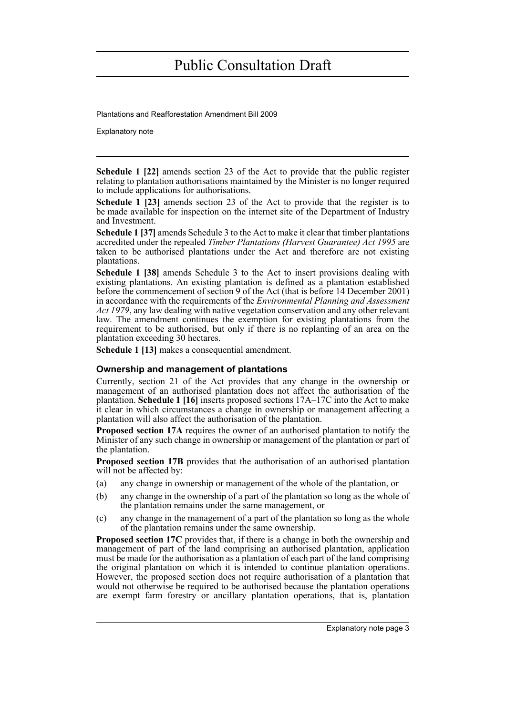Plantations and Reafforestation Amendment Bill 2009

Explanatory note

**Schedule 1 [22]** amends section 23 of the Act to provide that the public register relating to plantation authorisations maintained by the Minister is no longer required to include applications for authorisations.

**Schedule 1 [23]** amends section 23 of the Act to provide that the register is to be made available for inspection on the internet site of the Department of Industry and Investment.

**Schedule 1 [37]** amends Schedule 3 to the Act to make it clear that timber plantations accredited under the repealed *Timber Plantations (Harvest Guarantee) Act 1995* are taken to be authorised plantations under the Act and therefore are not existing plantations.

**Schedule 1 [38]** amends Schedule 3 to the Act to insert provisions dealing with existing plantations. An existing plantation is defined as a plantation established before the commencement of section 9 of the Act (that is before 14 December 2001) in accordance with the requirements of the *Environmental Planning and Assessment Act 1979*, any law dealing with native vegetation conservation and any other relevant law. The amendment continues the exemption for existing plantations from the requirement to be authorised, but only if there is no replanting of an area on the plantation exceeding 30 hectares.

**Schedule 1 [13]** makes a consequential amendment.

### **Ownership and management of plantations**

Currently, section 21 of the Act provides that any change in the ownership or management of an authorised plantation does not affect the authorisation of the plantation. **Schedule 1 [16]** inserts proposed sections 17A–17C into the Act to make it clear in which circumstances a change in ownership or management affecting a plantation will also affect the authorisation of the plantation.

**Proposed section 17A** requires the owner of an authorised plantation to notify the Minister of any such change in ownership or management of the plantation or part of the plantation.

**Proposed section 17B** provides that the authorisation of an authorised plantation will not be affected by:

- (a) any change in ownership or management of the whole of the plantation, or
- (b) any change in the ownership of a part of the plantation so long as the whole of the plantation remains under the same management, or
- (c) any change in the management of a part of the plantation so long as the whole of the plantation remains under the same ownership.

**Proposed section 17C** provides that, if there is a change in both the ownership and management of part of the land comprising an authorised plantation, application must be made for the authorisation as a plantation of each part of the land comprising the original plantation on which it is intended to continue plantation operations. However, the proposed section does not require authorisation of a plantation that would not otherwise be required to be authorised because the plantation operations are exempt farm forestry or ancillary plantation operations, that is, plantation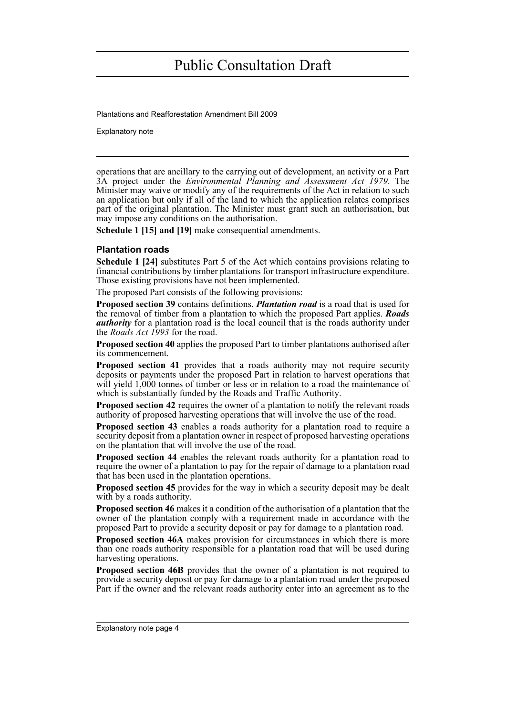Plantations and Reafforestation Amendment Bill 2009

Explanatory note

operations that are ancillary to the carrying out of development, an activity or a Part 3A project under the *Environmental Planning and Assessment Act 1979*. The Minister may waive or modify any of the requirements of the Act in relation to such an application but only if all of the land to which the application relates comprises part of the original plantation. The Minister must grant such an authorisation, but may impose any conditions on the authorisation.

**Schedule 1 [15] and [19]** make consequential amendments.

### **Plantation roads**

**Schedule 1 [24]** substitutes Part 5 of the Act which contains provisions relating to financial contributions by timber plantations for transport infrastructure expenditure. Those existing provisions have not been implemented.

The proposed Part consists of the following provisions:

**Proposed section 39** contains definitions. *Plantation road* is a road that is used for the removal of timber from a plantation to which the proposed Part applies. *Roads authority* for a plantation road is the local council that is the roads authority under the *Roads Act 1993* for the road.

**Proposed section 40** applies the proposed Part to timber plantations authorised after its commencement.

**Proposed section 41** provides that a roads authority may not require security deposits or payments under the proposed Part in relation to harvest operations that will yield 1,000 tonnes of timber or less or in relation to a road the maintenance of which is substantially funded by the Roads and Traffic Authority.

**Proposed section 42** requires the owner of a plantation to notify the relevant roads authority of proposed harvesting operations that will involve the use of the road.

**Proposed section 43** enables a roads authority for a plantation road to require a security deposit from a plantation owner in respect of proposed harvesting operations on the plantation that will involve the use of the road.

**Proposed section 44** enables the relevant roads authority for a plantation road to require the owner of a plantation to pay for the repair of damage to a plantation road that has been used in the plantation operations.

**Proposed section 45** provides for the way in which a security deposit may be dealt with by a roads authority.

**Proposed section 46** makes it a condition of the authorisation of a plantation that the owner of the plantation comply with a requirement made in accordance with the proposed Part to provide a security deposit or pay for damage to a plantation road.

**Proposed section 46A** makes provision for circumstances in which there is more than one roads authority responsible for a plantation road that will be used during harvesting operations.

**Proposed section 46B** provides that the owner of a plantation is not required to provide a security deposit or pay for damage to a plantation road under the proposed Part if the owner and the relevant roads authority enter into an agreement as to the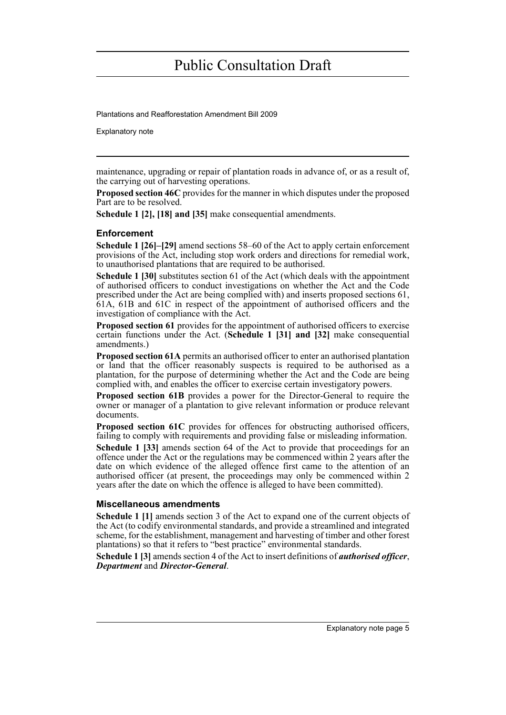Plantations and Reafforestation Amendment Bill 2009

Explanatory note

maintenance, upgrading or repair of plantation roads in advance of, or as a result of, the carrying out of harvesting operations.

**Proposed section 46C** provides for the manner in which disputes under the proposed Part are to be resolved.

**Schedule 1 [2], [18] and [35]** make consequential amendments.

### **Enforcement**

**Schedule 1 [26]–[29]** amend sections 58–60 of the Act to apply certain enforcement provisions of the Act, including stop work orders and directions for remedial work, to unauthorised plantations that are required to be authorised.

**Schedule 1 [30]** substitutes section 61 of the Act (which deals with the appointment of authorised officers to conduct investigations on whether the Act and the Code prescribed under the Act are being complied with) and inserts proposed sections 61, 61A, 61B and 61C in respect of the appointment of authorised officers and the investigation of compliance with the Act.

**Proposed section 61** provides for the appointment of authorised officers to exercise certain functions under the Act. (**Schedule 1 [31] and [32]** make consequential amendments.)

**Proposed section 61A** permits an authorised officer to enter an authorised plantation or land that the officer reasonably suspects is required to be authorised as a plantation, for the purpose of determining whether the Act and the Code are being complied with, and enables the officer to exercise certain investigatory powers.

**Proposed section 61B** provides a power for the Director-General to require the owner or manager of a plantation to give relevant information or produce relevant documents.

**Proposed section 61C** provides for offences for obstructing authorised officers, failing to comply with requirements and providing false or misleading information.

**Schedule 1 [33]** amends section 64 of the Act to provide that proceedings for an offence under the Act or the regulations may be commenced within 2 years after the date on which evidence of the alleged offence first came to the attention of an authorised officer (at present, the proceedings may only be commenced within 2 years after the date on which the offence is alleged to have been committed).

### **Miscellaneous amendments**

**Schedule 1 [1]** amends section 3 of the Act to expand one of the current objects of the Act (to codify environmental standards, and provide a streamlined and integrated scheme, for the establishment, management and harvesting of timber and other forest plantations) so that it refers to "best practice" environmental standards.

**Schedule 1 [3]** amends section 4 of the Act to insert definitions of *authorised officer*, *Department* and *Director-General*.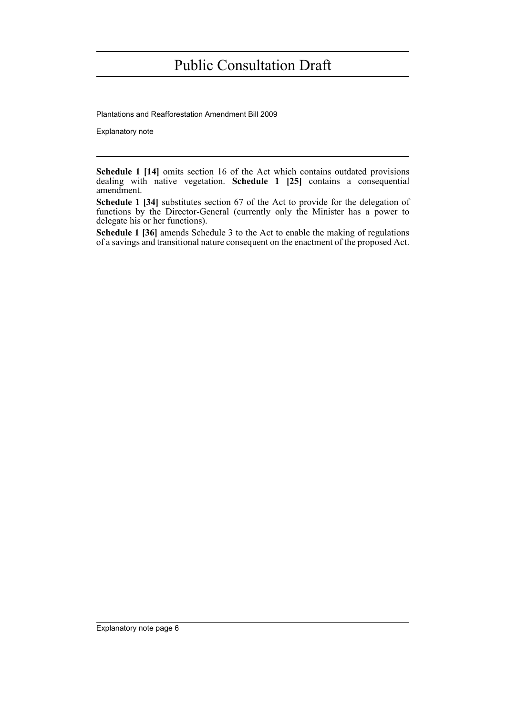Plantations and Reafforestation Amendment Bill 2009

Explanatory note

**Schedule 1 [14]** omits section 16 of the Act which contains outdated provisions dealing with native vegetation. **Schedule 1 [25]** contains a consequential amendment.

**Schedule 1 [34]** substitutes section 67 of the Act to provide for the delegation of functions by the Director-General (currently only the Minister has a power to delegate his or her functions).

**Schedule 1 [36]** amends Schedule 3 to the Act to enable the making of regulations of a savings and transitional nature consequent on the enactment of the proposed Act.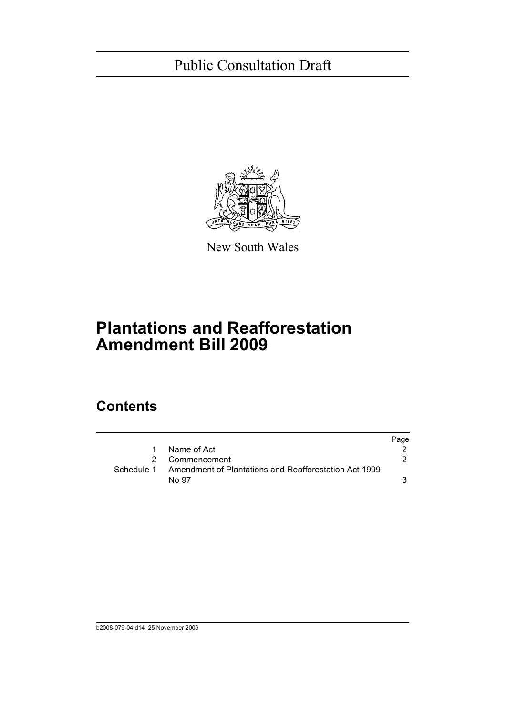

New South Wales

# **Plantations and Reafforestation Amendment Bill 2009**

### **Contents**

|   |                                                                  | Page |
|---|------------------------------------------------------------------|------|
| 1 | Name of Act                                                      |      |
|   | 2 Commencement                                                   |      |
|   | Schedule 1 Amendment of Plantations and Reafforestation Act 1999 |      |
|   | No 97                                                            |      |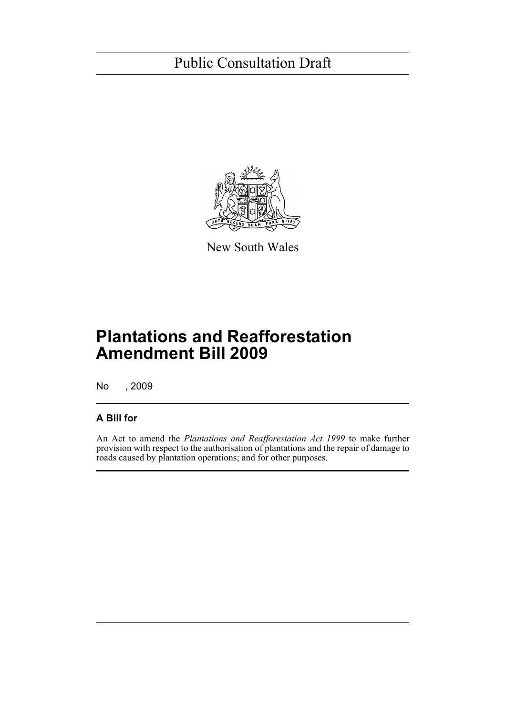

New South Wales

# **Plantations and Reafforestation Amendment Bill 2009**

No , 2009

### **A Bill for**

An Act to amend the *Plantations and Reafforestation Act 1999* to make further provision with respect to the authorisation of plantations and the repair of damage to roads caused by plantation operations; and for other purposes.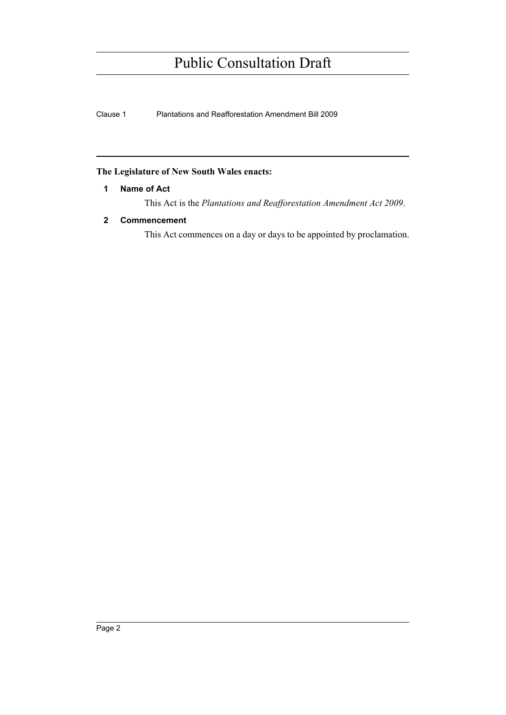Clause 1 Plantations and Reafforestation Amendment Bill 2009

### <span id="page-8-0"></span>**The Legislature of New South Wales enacts:**

### **1 Name of Act**

This Act is the *Plantations and Reafforestation Amendment Act 2009*.

### <span id="page-8-1"></span>**2 Commencement**

This Act commences on a day or days to be appointed by proclamation.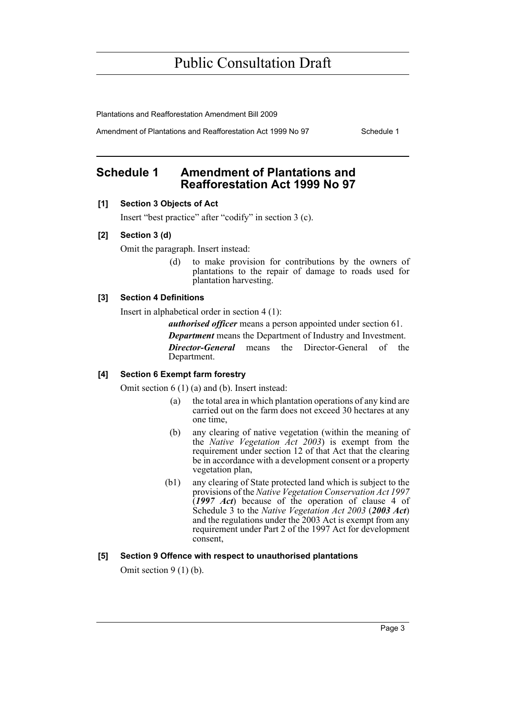Plantations and Reafforestation Amendment Bill 2009

Amendment of Plantations and Reafforestation Act 1999 No 97 Schedule 1

### <span id="page-9-0"></span>**Schedule 1 Amendment of Plantations and Reafforestation Act 1999 No 97**

### **[1] Section 3 Objects of Act**

Insert "best practice" after "codify" in section 3 (c).

#### **[2] Section 3 (d)**

Omit the paragraph. Insert instead:

(d) to make provision for contributions by the owners of plantations to the repair of damage to roads used for plantation harvesting.

### **[3] Section 4 Definitions**

Insert in alphabetical order in section 4 (1):

*authorised officer* means a person appointed under section 61.

*Department* means the Department of Industry and Investment.

*Director-General* means the Director-General of the Department.

### **[4] Section 6 Exempt farm forestry**

Omit section 6 (1) (a) and (b). Insert instead:

- (a) the total area in which plantation operations of any kind are carried out on the farm does not exceed 30 hectares at any one time,
- (b) any clearing of native vegetation (within the meaning of the *Native Vegetation Act 2003*) is exempt from the requirement under section 12 of that Act that the clearing be in accordance with a development consent or a property vegetation plan,
- (b1) any clearing of State protected land which is subject to the provisions of the *Native Vegetation Conservation Act 1997* (*1997 Act*) because of the operation of clause 4 of Schedule 3 to the *Native Vegetation Act 2003* (*2003 Act*) and the regulations under the 2003 Act is exempt from any requirement under Part 2 of the 1997 Act for development consent,

### **[5] Section 9 Offence with respect to unauthorised plantations**

Omit section 9 (1) (b).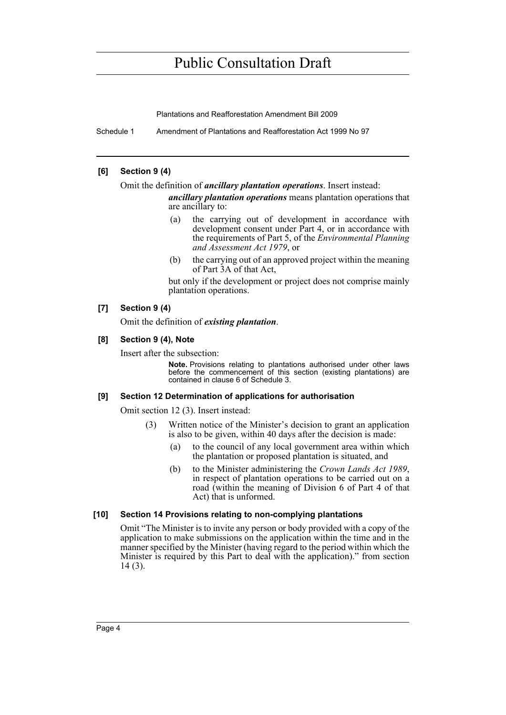Plantations and Reafforestation Amendment Bill 2009

Schedule 1 Amendment of Plantations and Reafforestation Act 1999 No 97

### **[6] Section 9 (4)**

Omit the definition of *ancillary plantation operations*. Insert instead:

*ancillary plantation operations* means plantation operations that are ancillary to:

- (a) the carrying out of development in accordance with development consent under Part 4, or in accordance with the requirements of Part 5, of the *Environmental Planning and Assessment Act 1979*, or
- (b) the carrying out of an approved project within the meaning of Part 3A of that Act,

but only if the development or project does not comprise mainly plantation operations.

### **[7] Section 9 (4)**

Omit the definition of *existing plantation*.

### **[8] Section 9 (4), Note**

Insert after the subsection:

**Note.** Provisions relating to plantations authorised under other laws before the commencement of this section (existing plantations) are contained in clause 6 of Schedule 3.

### **[9] Section 12 Determination of applications for authorisation**

Omit section 12 (3). Insert instead:

- (3) Written notice of the Minister's decision to grant an application is also to be given, within 40 days after the decision is made:
	- (a) to the council of any local government area within which the plantation or proposed plantation is situated, and
	- (b) to the Minister administering the *Crown Lands Act 1989*, in respect of plantation operations to be carried out on a road (within the meaning of Division 6 of Part 4 of that Act) that is unformed.

### **[10] Section 14 Provisions relating to non-complying plantations**

Omit "The Minister is to invite any person or body provided with a copy of the application to make submissions on the application within the time and in the manner specified by the Minister (having regard to the period within which the Minister is required by this Part to deal with the application)." from section 14 (3).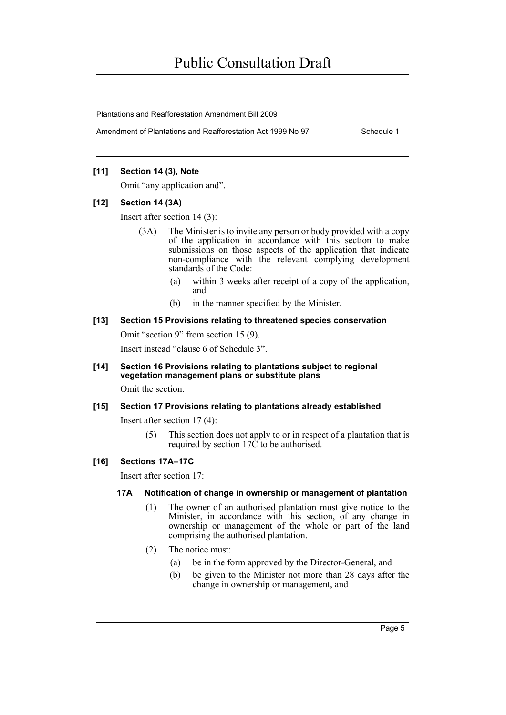Plantations and Reafforestation Amendment Bill 2009

Amendment of Plantations and Reafforestation Act 1999 No 97 Schedule 1

### **[11] Section 14 (3), Note**

Omit "any application and".

#### **[12] Section 14 (3A)**

Insert after section 14 (3):

- (3A) The Minister is to invite any person or body provided with a copy of the application in accordance with this section to make submissions on those aspects of the application that indicate non-compliance with the relevant complying development standards of the Code:
	- (a) within 3 weeks after receipt of a copy of the application, and
	- (b) in the manner specified by the Minister.

### **[13] Section 15 Provisions relating to threatened species conservation**

Omit "section 9" from section 15 (9).

Insert instead "clause 6 of Schedule 3".

### **[14] Section 16 Provisions relating to plantations subject to regional vegetation management plans or substitute plans**

Omit the section.

### **[15] Section 17 Provisions relating to plantations already established**

Insert after section 17 (4):

(5) This section does not apply to or in respect of a plantation that is required by section 17C to be authorised.

### **[16] Sections 17A–17C**

Insert after section 17:

#### **17A Notification of change in ownership or management of plantation**

- (1) The owner of an authorised plantation must give notice to the Minister, in accordance with this section, of any change in ownership or management of the whole or part of the land comprising the authorised plantation.
- (2) The notice must:
	- (a) be in the form approved by the Director-General, and
	- (b) be given to the Minister not more than 28 days after the change in ownership or management, and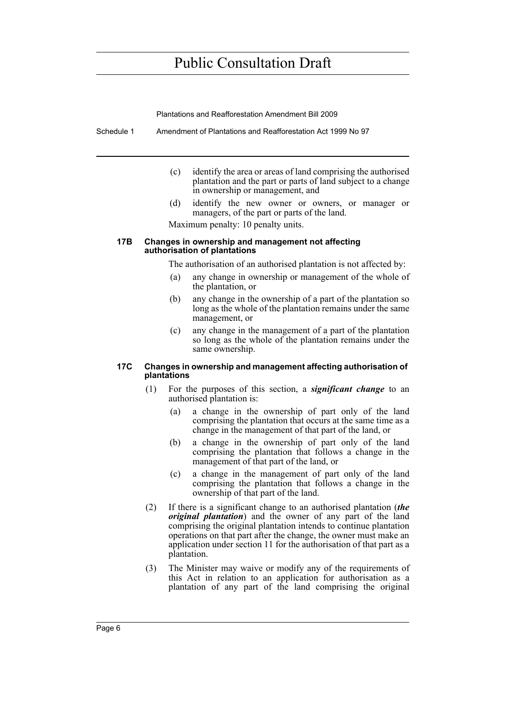Plantations and Reafforestation Amendment Bill 2009

Schedule 1 Amendment of Plantations and Reafforestation Act 1999 No 97

- (c) identify the area or areas of land comprising the authorised plantation and the part or parts of land subject to a change in ownership or management, and
- (d) identify the new owner or owners, or manager or managers, of the part or parts of the land.

Maximum penalty: 10 penalty units.

#### **17B Changes in ownership and management not affecting authorisation of plantations**

The authorisation of an authorised plantation is not affected by:

- (a) any change in ownership or management of the whole of the plantation, or
- (b) any change in the ownership of a part of the plantation so long as the whole of the plantation remains under the same management, or
- (c) any change in the management of a part of the plantation so long as the whole of the plantation remains under the same ownership.

#### **17C Changes in ownership and management affecting authorisation of plantations**

- (1) For the purposes of this section, a *significant change* to an authorised plantation is:
	- (a) a change in the ownership of part only of the land comprising the plantation that occurs at the same time as a change in the management of that part of the land, or
	- (b) a change in the ownership of part only of the land comprising the plantation that follows a change in the management of that part of the land, or
	- (c) a change in the management of part only of the land comprising the plantation that follows a change in the ownership of that part of the land.
- (2) If there is a significant change to an authorised plantation (*the original plantation*) and the owner of any part of the land comprising the original plantation intends to continue plantation operations on that part after the change, the owner must make an application under section 11 for the authorisation of that part as a plantation.
- (3) The Minister may waive or modify any of the requirements of this Act in relation to an application for authorisation as a plantation of any part of the land comprising the original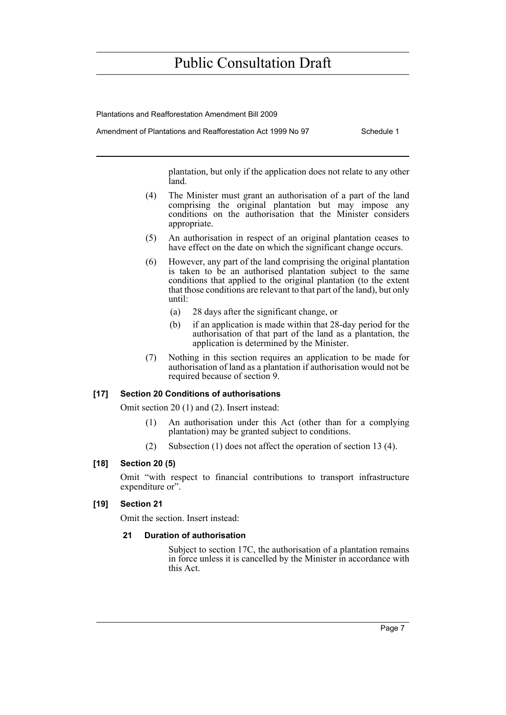Plantations and Reafforestation Amendment Bill 2009

Amendment of Plantations and Reafforestation Act 1999 No 97 Schedule 1

plantation, but only if the application does not relate to any other land.

- (4) The Minister must grant an authorisation of a part of the land comprising the original plantation but may impose any conditions on the authorisation that the Minister considers appropriate.
- (5) An authorisation in respect of an original plantation ceases to have effect on the date on which the significant change occurs.
- (6) However, any part of the land comprising the original plantation is taken to be an authorised plantation subject to the same conditions that applied to the original plantation (to the extent that those conditions are relevant to that part of the land), but only until:
	- (a) 28 days after the significant change, or
	- (b) if an application is made within that 28-day period for the authorisation of that part of the land as a plantation, the application is determined by the Minister.
- (7) Nothing in this section requires an application to be made for authorisation of land as a plantation if authorisation would not be required because of section 9.

#### **[17] Section 20 Conditions of authorisations**

Omit section 20 (1) and (2). Insert instead:

- (1) An authorisation under this Act (other than for a complying plantation) may be granted subject to conditions.
- (2) Subsection (1) does not affect the operation of section 13 (4).

#### **[18] Section 20 (5)**

Omit "with respect to financial contributions to transport infrastructure expenditure or".

### **[19] Section 21**

Omit the section. Insert instead:

#### **21 Duration of authorisation**

Subject to section 17C, the authorisation of a plantation remains in force unless it is cancelled by the Minister in accordance with this Act.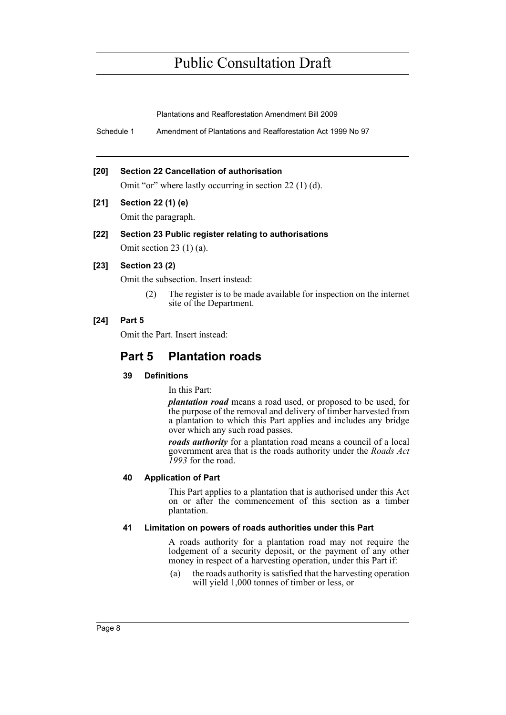Plantations and Reafforestation Amendment Bill 2009

Schedule 1 Amendment of Plantations and Reafforestation Act 1999 No 97

#### **[20] Section 22 Cancellation of authorisation**

Omit "or" where lastly occurring in section 22 (1) (d).

### **[21] Section 22 (1) (e)**

Omit the paragraph.

#### **[22] Section 23 Public register relating to authorisations**

Omit section 23 $(1)(a)$ .

### **[23] Section 23 (2)**

Omit the subsection. Insert instead:

(2) The register is to be made available for inspection on the internet site of the Department.

#### **[24] Part 5**

Omit the Part. Insert instead:

### **Part 5 Plantation roads**

### **39 Definitions**

In this Part:

*plantation road* means a road used, or proposed to be used, for the purpose of the removal and delivery of timber harvested from a plantation to which this Part applies and includes any bridge over which any such road passes.

*roads authority* for a plantation road means a council of a local government area that is the roads authority under the *Roads Act 1993* for the road.

### **40 Application of Part**

This Part applies to a plantation that is authorised under this Act on or after the commencement of this section as a timber plantation.

#### **41 Limitation on powers of roads authorities under this Part**

A roads authority for a plantation road may not require the lodgement of a security deposit, or the payment of any other money in respect of a harvesting operation, under this Part if:

(a) the roads authority is satisfied that the harvesting operation will yield 1,000 tonnes of timber or less, or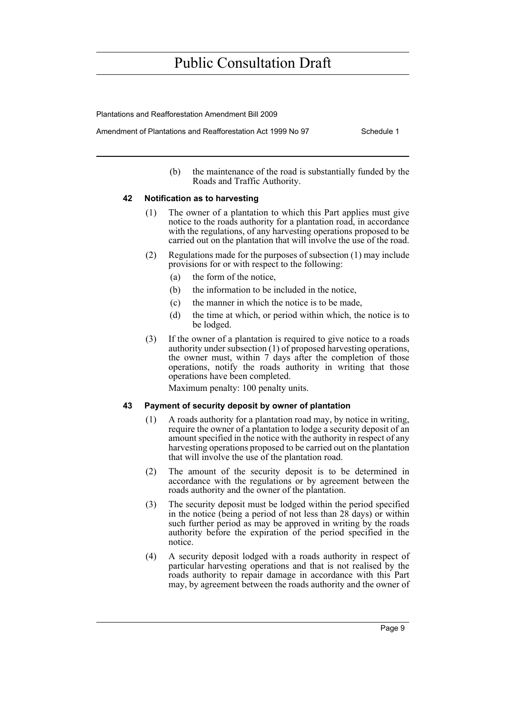Plantations and Reafforestation Amendment Bill 2009

Amendment of Plantations and Reafforestation Act 1999 No 97 Schedule 1

(b) the maintenance of the road is substantially funded by the Roads and Traffic Authority.

#### **42 Notification as to harvesting**

- (1) The owner of a plantation to which this Part applies must give notice to the roads authority for a plantation road, in accordance with the regulations, of any harvesting operations proposed to be carried out on the plantation that will involve the use of the road.
- (2) Regulations made for the purposes of subsection (1) may include provisions for or with respect to the following:
	- (a) the form of the notice,
	- (b) the information to be included in the notice,
	- (c) the manner in which the notice is to be made,
	- (d) the time at which, or period within which, the notice is to be lodged.
- (3) If the owner of a plantation is required to give notice to a roads authority under subsection (1) of proposed harvesting operations, the owner must, within 7 days after the completion of those operations, notify the roads authority in writing that those operations have been completed.

Maximum penalty: 100 penalty units.

### **43 Payment of security deposit by owner of plantation**

- (1) A roads authority for a plantation road may, by notice in writing, require the owner of a plantation to lodge a security deposit of an amount specified in the notice with the authority in respect of any harvesting operations proposed to be carried out on the plantation that will involve the use of the plantation road.
- (2) The amount of the security deposit is to be determined in accordance with the regulations or by agreement between the roads authority and the owner of the plantation.
- (3) The security deposit must be lodged within the period specified in the notice (being a period of not less than 28 days) or within such further period as may be approved in writing by the roads authority before the expiration of the period specified in the notice.
- (4) A security deposit lodged with a roads authority in respect of particular harvesting operations and that is not realised by the roads authority to repair damage in accordance with this Part may, by agreement between the roads authority and the owner of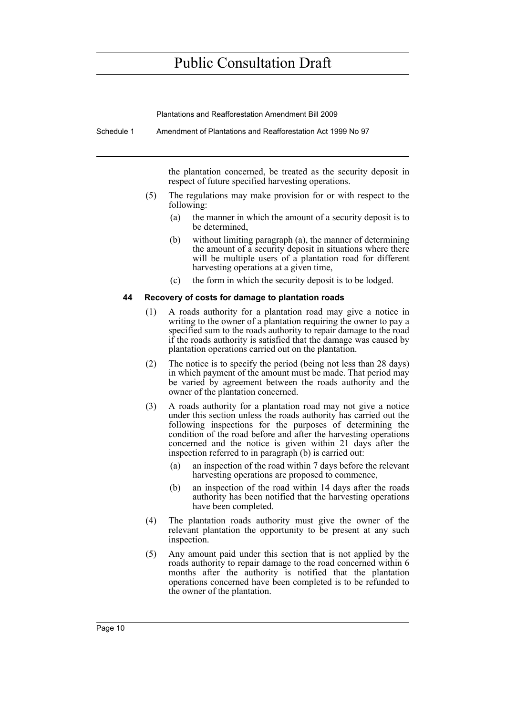Plantations and Reafforestation Amendment Bill 2009

Schedule 1 Amendment of Plantations and Reafforestation Act 1999 No 97

the plantation concerned, be treated as the security deposit in respect of future specified harvesting operations.

- (5) The regulations may make provision for or with respect to the following:
	- (a) the manner in which the amount of a security deposit is to be determined,
	- (b) without limiting paragraph (a), the manner of determining the amount of a security deposit in situations where there will be multiple users of a plantation road for different harvesting operations at a given time,
	- (c) the form in which the security deposit is to be lodged.

#### **44 Recovery of costs for damage to plantation roads**

- (1) A roads authority for a plantation road may give a notice in writing to the owner of a plantation requiring the owner to pay a specified sum to the roads authority to repair damage to the road if the roads authority is satisfied that the damage was caused by plantation operations carried out on the plantation.
- (2) The notice is to specify the period (being not less than 28 days) in which payment of the amount must be made. That period may be varied by agreement between the roads authority and the owner of the plantation concerned.
- (3) A roads authority for a plantation road may not give a notice under this section unless the roads authority has carried out the following inspections for the purposes of determining the condition of the road before and after the harvesting operations concerned and the notice is given within 21 days after the inspection referred to in paragraph (b) is carried out:
	- (a) an inspection of the road within 7 days before the relevant harvesting operations are proposed to commence,
	- (b) an inspection of the road within 14 days after the roads authority has been notified that the harvesting operations have been completed.
- (4) The plantation roads authority must give the owner of the relevant plantation the opportunity to be present at any such inspection.
- (5) Any amount paid under this section that is not applied by the roads authority to repair damage to the road concerned within 6 months after the authority is notified that the plantation operations concerned have been completed is to be refunded to the owner of the plantation.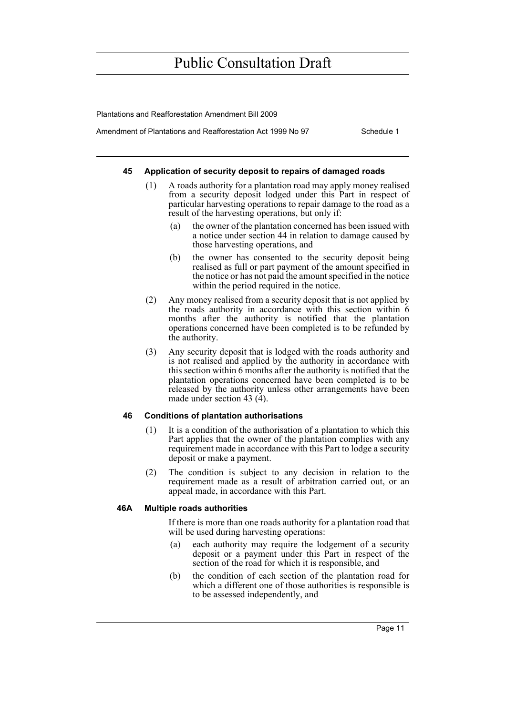Plantations and Reafforestation Amendment Bill 2009

Amendment of Plantations and Reafforestation Act 1999 No 97 Schedule 1

#### **45 Application of security deposit to repairs of damaged roads**

- (1) A roads authority for a plantation road may apply money realised from a security deposit lodged under this Part in respect of particular harvesting operations to repair damage to the road as a result of the harvesting operations, but only if:
	- (a) the owner of the plantation concerned has been issued with a notice under section 44 in relation to damage caused by those harvesting operations, and
	- (b) the owner has consented to the security deposit being realised as full or part payment of the amount specified in the notice or has not paid the amount specified in the notice within the period required in the notice.
- (2) Any money realised from a security deposit that is not applied by the roads authority in accordance with this section within 6 months after the authority is notified that the plantation operations concerned have been completed is to be refunded by the authority.
- (3) Any security deposit that is lodged with the roads authority and is not realised and applied by the authority in accordance with this section within 6 months after the authority is notified that the plantation operations concerned have been completed is to be released by the authority unless other arrangements have been made under section 43 (4).

### **46 Conditions of plantation authorisations**

- (1) It is a condition of the authorisation of a plantation to which this Part applies that the owner of the plantation complies with any requirement made in accordance with this Part to lodge a security deposit or make a payment.
- (2) The condition is subject to any decision in relation to the requirement made as a result of arbitration carried out, or an appeal made, in accordance with this Part.

#### **46A Multiple roads authorities**

If there is more than one roads authority for a plantation road that will be used during harvesting operations:

- (a) each authority may require the lodgement of a security deposit or a payment under this Part in respect of the section of the road for which it is responsible, and
- (b) the condition of each section of the plantation road for which a different one of those authorities is responsible is to be assessed independently, and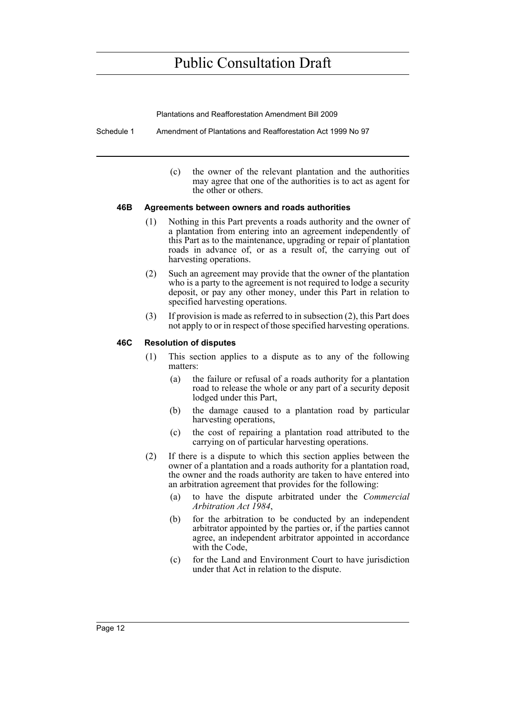Plantations and Reafforestation Amendment Bill 2009

Schedule 1 Amendment of Plantations and Reafforestation Act 1999 No 97

(c) the owner of the relevant plantation and the authorities may agree that one of the authorities is to act as agent for the other or others.

#### **46B Agreements between owners and roads authorities**

- (1) Nothing in this Part prevents a roads authority and the owner of a plantation from entering into an agreement independently of this Part as to the maintenance, upgrading or repair of plantation roads in advance of, or as a result of, the carrying out of harvesting operations.
- (2) Such an agreement may provide that the owner of the plantation who is a party to the agreement is not required to lodge a security deposit, or pay any other money, under this Part in relation to specified harvesting operations.
- (3) If provision is made as referred to in subsection (2), this Part does not apply to or in respect of those specified harvesting operations.

#### **46C Resolution of disputes**

- (1) This section applies to a dispute as to any of the following matters:
	- (a) the failure or refusal of a roads authority for a plantation road to release the whole or any part of a security deposit lodged under this Part,
	- (b) the damage caused to a plantation road by particular harvesting operations,
	- (c) the cost of repairing a plantation road attributed to the carrying on of particular harvesting operations.
- (2) If there is a dispute to which this section applies between the owner of a plantation and a roads authority for a plantation road, the owner and the roads authority are taken to have entered into an arbitration agreement that provides for the following:
	- (a) to have the dispute arbitrated under the *Commercial Arbitration Act 1984*,
	- (b) for the arbitration to be conducted by an independent arbitrator appointed by the parties or, if the parties cannot agree, an independent arbitrator appointed in accordance with the Code,
	- (c) for the Land and Environment Court to have jurisdiction under that Act in relation to the dispute.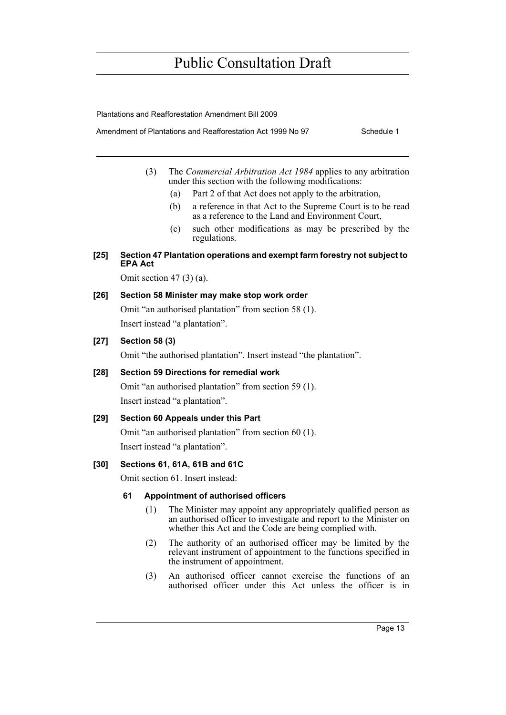Plantations and Reafforestation Amendment Bill 2009

Amendment of Plantations and Reafforestation Act 1999 No 97 Schedule 1

- (3) The *Commercial Arbitration Act 1984* applies to any arbitration under this section with the following modifications:
	- (a) Part 2 of that Act does not apply to the arbitration,
	- (b) a reference in that Act to the Supreme Court is to be read as a reference to the Land and Environment Court,
	- (c) such other modifications as may be prescribed by the regulations.
- **[25] Section 47 Plantation operations and exempt farm forestry not subject to EPA Act**

Omit section 47 (3) (a).

### **[26] Section 58 Minister may make stop work order**

Omit "an authorised plantation" from section 58 (1). Insert instead "a plantation".

### **[27] Section 58 (3)**

Omit "the authorised plantation". Insert instead "the plantation".

### **[28] Section 59 Directions for remedial work**

Omit "an authorised plantation" from section 59 (1). Insert instead "a plantation".

### **[29] Section 60 Appeals under this Part**

Omit "an authorised plantation" from section 60 (1). Insert instead "a plantation".

### **[30] Sections 61, 61A, 61B and 61C**

Omit section 61. Insert instead:

### **61 Appointment of authorised officers**

- (1) The Minister may appoint any appropriately qualified person as an authorised officer to investigate and report to the Minister on whether this Act and the Code are being complied with.
- (2) The authority of an authorised officer may be limited by the relevant instrument of appointment to the functions specified in the instrument of appointment.
- (3) An authorised officer cannot exercise the functions of an authorised officer under this Act unless the officer is in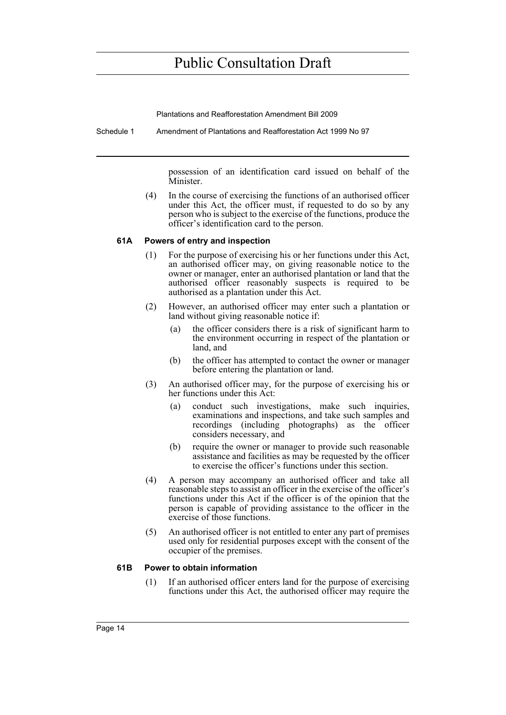Plantations and Reafforestation Amendment Bill 2009

Schedule 1 Amendment of Plantations and Reafforestation Act 1999 No 97

possession of an identification card issued on behalf of the Minister.

(4) In the course of exercising the functions of an authorised officer under this Act, the officer must, if requested to do so by any person who is subject to the exercise of the functions, produce the officer's identification card to the person.

### **61A Powers of entry and inspection**

- (1) For the purpose of exercising his or her functions under this Act, an authorised officer may, on giving reasonable notice to the owner or manager, enter an authorised plantation or land that the authorised officer reasonably suspects is required to be authorised as a plantation under this Act.
- (2) However, an authorised officer may enter such a plantation or land without giving reasonable notice if:
	- (a) the officer considers there is a risk of significant harm to the environment occurring in respect of the plantation or land, and
	- (b) the officer has attempted to contact the owner or manager before entering the plantation or land.
- (3) An authorised officer may, for the purpose of exercising his or her functions under this Act:
	- (a) conduct such investigations, make such inquiries, examinations and inspections, and take such samples and recordings (including photographs) as the officer considers necessary, and
	- (b) require the owner or manager to provide such reasonable assistance and facilities as may be requested by the officer to exercise the officer's functions under this section.
- (4) A person may accompany an authorised officer and take all reasonable steps to assist an officer in the exercise of the officer's functions under this Act if the officer is of the opinion that the person is capable of providing assistance to the officer in the exercise of those functions.
- (5) An authorised officer is not entitled to enter any part of premises used only for residential purposes except with the consent of the occupier of the premises.

#### **61B Power to obtain information**

(1) If an authorised officer enters land for the purpose of exercising functions under this Act, the authorised officer may require the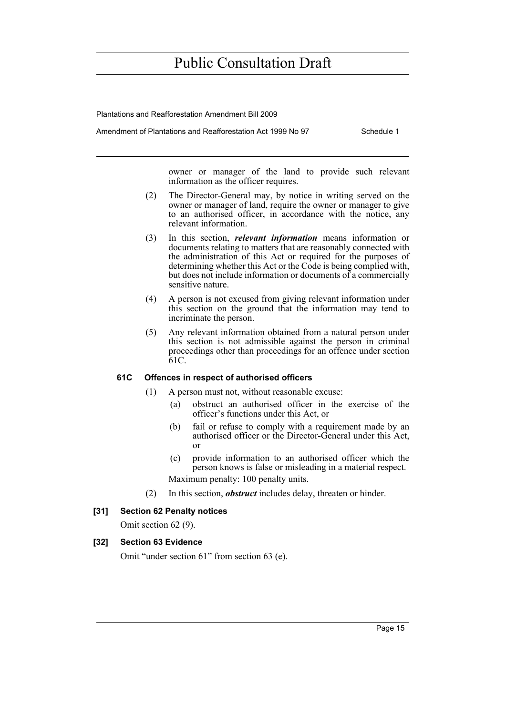Plantations and Reafforestation Amendment Bill 2009

Amendment of Plantations and Reafforestation Act 1999 No 97 Schedule 1

owner or manager of the land to provide such relevant information as the officer requires.

- (2) The Director-General may, by notice in writing served on the owner or manager of land, require the owner or manager to give to an authorised officer, in accordance with the notice, any relevant information.
- (3) In this section, *relevant information* means information or documents relating to matters that are reasonably connected with the administration of this Act or required for the purposes of determining whether this Act or the Code is being complied with, but does not include information or documents of a commercially sensitive nature.
- (4) A person is not excused from giving relevant information under this section on the ground that the information may tend to incriminate the person.
- (5) Any relevant information obtained from a natural person under this section is not admissible against the person in criminal proceedings other than proceedings for an offence under section 61C.

### **61C Offences in respect of authorised officers**

- (1) A person must not, without reasonable excuse:
	- (a) obstruct an authorised officer in the exercise of the officer's functions under this Act, or
	- (b) fail or refuse to comply with a requirement made by an authorised officer or the Director-General under this Act, or
	- (c) provide information to an authorised officer which the person knows is false or misleading in a material respect. Maximum penalty: 100 penalty units.
- (2) In this section, *obstruct* includes delay, threaten or hinder.

### **[31] Section 62 Penalty notices**

Omit section 62 (9).

### **[32] Section 63 Evidence**

Omit "under section 61" from section 63 (e).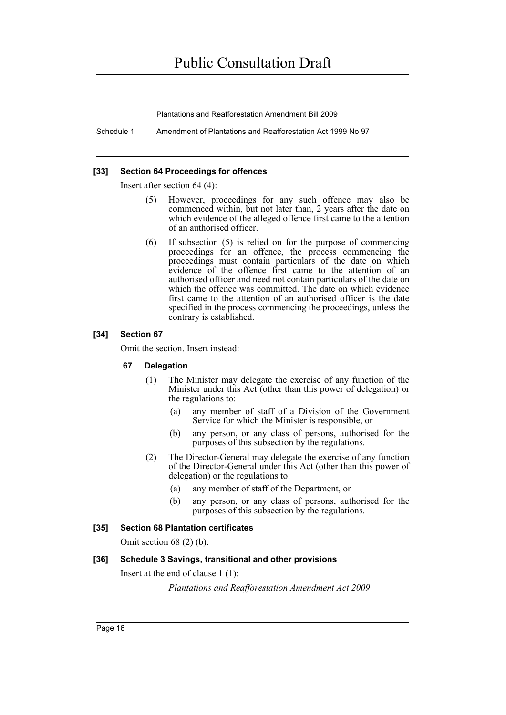Plantations and Reafforestation Amendment Bill 2009

Schedule 1 Amendment of Plantations and Reafforestation Act 1999 No 97

#### **[33] Section 64 Proceedings for offences**

Insert after section 64 (4):

- (5) However, proceedings for any such offence may also be commenced within, but not later than, 2 years after the date on which evidence of the alleged offence first came to the attention of an authorised officer.
- (6) If subsection (5) is relied on for the purpose of commencing proceedings for an offence, the process commencing the proceedings must contain particulars of the date on which evidence of the offence first came to the attention of an authorised officer and need not contain particulars of the date on which the offence was committed. The date on which evidence first came to the attention of an authorised officer is the date specified in the process commencing the proceedings, unless the contrary is established.

### **[34] Section 67**

Omit the section. Insert instead:

### **67 Delegation**

- (1) The Minister may delegate the exercise of any function of the Minister under this Act (other than this power of delegation) or the regulations to:
	- (a) any member of staff of a Division of the Government Service for which the Minister is responsible, or
	- (b) any person, or any class of persons, authorised for the purposes of this subsection by the regulations.
- (2) The Director-General may delegate the exercise of any function of the Director-General under this Act (other than this power of delegation) or the regulations to:
	- (a) any member of staff of the Department, or
	- (b) any person, or any class of persons, authorised for the purposes of this subsection by the regulations.

### **[35] Section 68 Plantation certificates**

Omit section 68 (2) (b).

### **[36] Schedule 3 Savings, transitional and other provisions**

Insert at the end of clause 1 (1):

*Plantations and Reafforestation Amendment Act 2009*